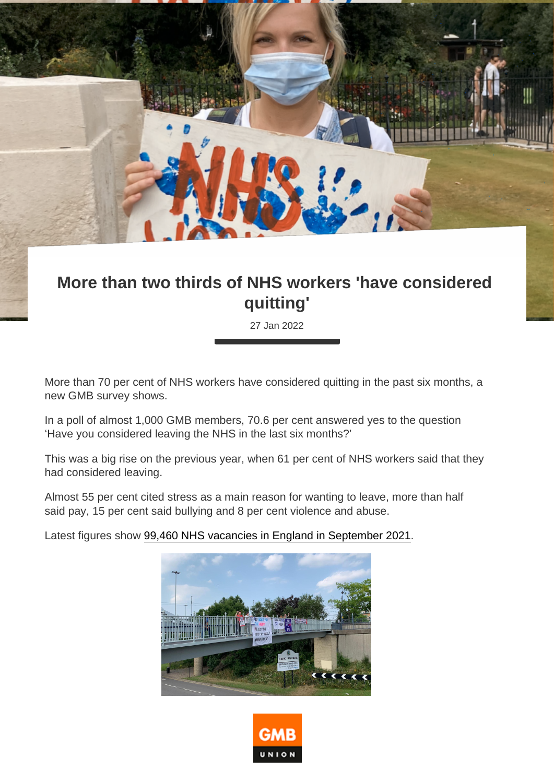## More than two thirds of NHS workers 'have considered quitting'

27 Jan 2022

More than 70 per cent of NHS workers have considered quitting in the past six months, a new GMB survey shows.

In a poll of almost 1,000 GMB members, 70.6 per cent answered yes to the question 'Have you considered leaving the NHS in the last six months?'

This was a big rise on the previous year, when 61 per cent of NHS workers said that they had considered leaving.

Almost 55 per cent cited stress as a main reason for wanting to leave, more than half said pay, 15 per cent said bullying and 8 per cent violence and abuse.

Latest figures show [99,460 NHS vacancies in England in September 2021.](https://digital.nhs.uk/data-and-information/publications/statistical/nhs-vacancies-survey/april-2015---september-2021-experimental-statistics)